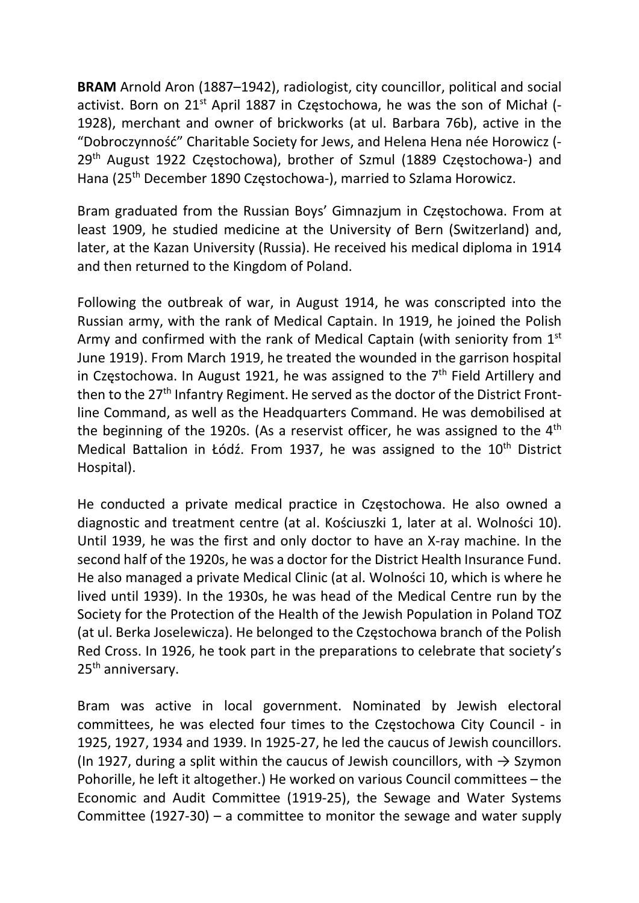BRAM Arnold Aron (1887–1942), radiologist, city councillor, political and social activist. Born on 21<sup>st</sup> April 1887 in Częstochowa, he was the son of Michał (-1928), merchant and owner of brickworks (at ul. Barbara 76b), active in the "Dobroczynność" Charitable Society for Jews, and Helena Hena née Horowicz (- 29th August 1922 Częstochowa), brother of Szmul (1889 Częstochowa-) and Hana (25th December 1890 Częstochowa-), married to Szlama Horowicz.

Bram graduated from the Russian Boys' Gimnazjum in Częstochowa. From at least 1909, he studied medicine at the University of Bern (Switzerland) and, later, at the Kazan University (Russia). He received his medical diploma in 1914 and then returned to the Kingdom of Poland.

Following the outbreak of war, in August 1914, he was conscripted into the Russian army, with the rank of Medical Captain. In 1919, he joined the Polish Army and confirmed with the rank of Medical Captain (with seniority from 1st) June 1919). From March 1919, he treated the wounded in the garrison hospital in Częstochowa. In August 1921, he was assigned to the  $7<sup>th</sup>$  Field Artillery and then to the 27<sup>th</sup> Infantry Regiment. He served as the doctor of the District Frontline Command, as well as the Headquarters Command. He was demobilised at the beginning of the 1920s. (As a reservist officer, he was assigned to the 4<sup>th</sup> Medical Battalion in Łódź. From 1937, he was assigned to the 10<sup>th</sup> District Hospital).

He conducted a private medical practice in Częstochowa. He also owned a diagnostic and treatment centre (at al. Kościuszki 1, later at al. Wolności 10). Until 1939, he was the first and only doctor to have an X-ray machine. In the second half of the 1920s, he was a doctor for the District Health Insurance Fund. He also managed a private Medical Clinic (at al. Wolności 10, which is where he lived until 1939). In the 1930s, he was head of the Medical Centre run by the Society for the Protection of the Health of the Jewish Population in Poland TOZ (at ul. Berka Joselewicza). He belonged to the Częstochowa branch of the Polish Red Cross. In 1926, he took part in the preparations to celebrate that society's 25<sup>th</sup> anniversary.

Bram was active in local government. Nominated by Jewish electoral committees, he was elected four times to the Częstochowa City Council - in 1925, 1927, 1934 and 1939. In 1925-27, he led the caucus of Jewish councillors. (In 1927, during a split within the caucus of Jewish councillors, with  $\rightarrow$  Szymon Pohorille, he left it altogether.) He worked on various Council committees – the Economic and Audit Committee (1919-25), the Sewage and Water Systems Committee (1927-30) – a committee to monitor the sewage and water supply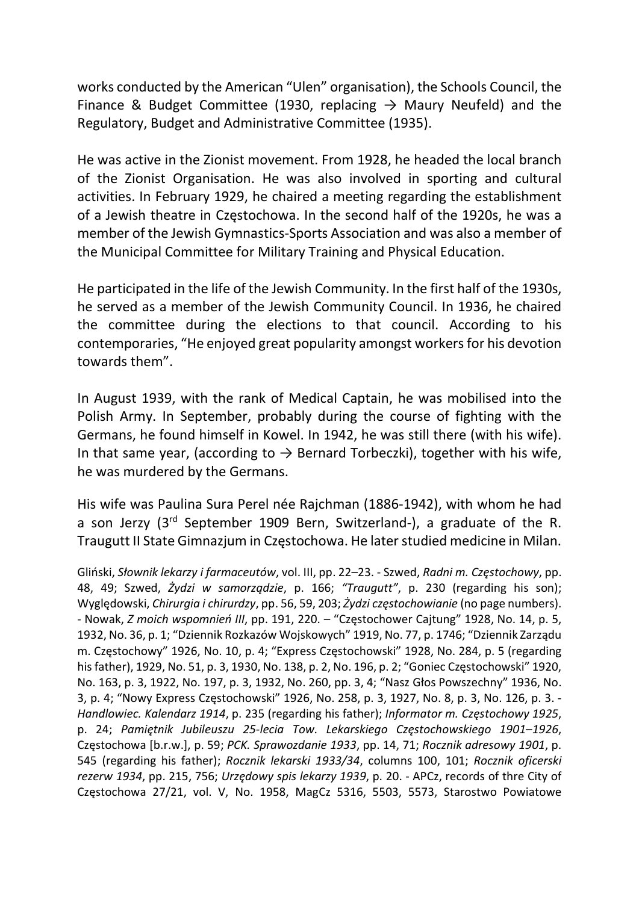works conducted by the American "Ulen" organisation), the Schools Council, the Finance & Budget Committee (1930, replacing  $\rightarrow$  Maury Neufeld) and the Regulatory, Budget and Administrative Committee (1935).

He was active in the Zionist movement. From 1928, he headed the local branch of the Zionist Organisation. He was also involved in sporting and cultural activities. In February 1929, he chaired a meeting regarding the establishment of a Jewish theatre in Częstochowa. In the second half of the 1920s, he was a member of the Jewish Gymnastics-Sports Association and was also a member of the Municipal Committee for Military Training and Physical Education.

He participated in the life of the Jewish Community. In the first half of the 1930s, he served as a member of the Jewish Community Council. In 1936, he chaired the committee during the elections to that council. According to his contemporaries, "He enjoyed great popularity amongst workers for his devotion towards them".

In August 1939, with the rank of Medical Captain, he was mobilised into the Polish Army. In September, probably during the course of fighting with the Germans, he found himself in Kowel. In 1942, he was still there (with his wife). In that same year, (according to  $\rightarrow$  Bernard Torbeczki), together with his wife, he was murdered by the Germans.

His wife was Paulina Sura Perel née Rajchman (1886-1942), with whom he had a son Jerzy (3rd September 1909 Bern, Switzerland-), a graduate of the R. Traugutt II State Gimnazjum in Częstochowa. He later studied medicine in Milan.

Gliński, Słownik lekarzy i farmaceutów, vol. III, pp. 22–23. - Szwed, Radni m. Częstochowy, pp. 48, 49; Szwed, Żydzi w samorządzie, p. 166; "Traugutt", p. 230 (regarding his son); Wyględowski, Chirurgia i chirurdzy, pp. 56, 59, 203; Żydzi częstochowianie (no page numbers). - Nowak, Z moich wspomnień III, pp. 191, 220. – "Częstochower Cajtung" 1928, No. 14, p. 5, 1932, No. 36, p. 1; "Dziennik Rozkazów Wojskowych" 1919, No. 77, p. 1746; "Dziennik Zarządu m. Częstochowy" 1926, No. 10, p. 4; "Express Częstochowski" 1928, No. 284, p. 5 (regarding his father), 1929, No. 51, p. 3, 1930, No. 138, p. 2, No. 196, p. 2; "Goniec Częstochowski" 1920, No. 163, p. 3, 1922, No. 197, p. 3, 1932, No. 260, pp. 3, 4; "Nasz Głos Powszechny" 1936, No. 3, p. 4; "Nowy Express Częstochowski" 1926, No. 258, p. 3, 1927, No. 8, p. 3, No. 126, p. 3. - Handlowiec. Kalendarz 1914, p. 235 (regarding his father); Informator m. Częstochowy 1925, p. 24; Pamiętnik Jubileuszu 25-lecia Tow. Lekarskiego Częstochowskiego 1901–1926, Częstochowa [b.r.w.], p. 59; PCK. Sprawozdanie 1933, pp. 14, 71; Rocznik adresowy 1901, p. 545 (regarding his father); Rocznik lekarski 1933/34, columns 100, 101; Rocznik oficerski rezerw 1934, pp. 215, 756; Urzędowy spis lekarzy 1939, p. 20. - APCz, records of thre City of Częstochowa 27/21, vol. V, No. 1958, MagCz 5316, 5503, 5573, Starostwo Powiatowe